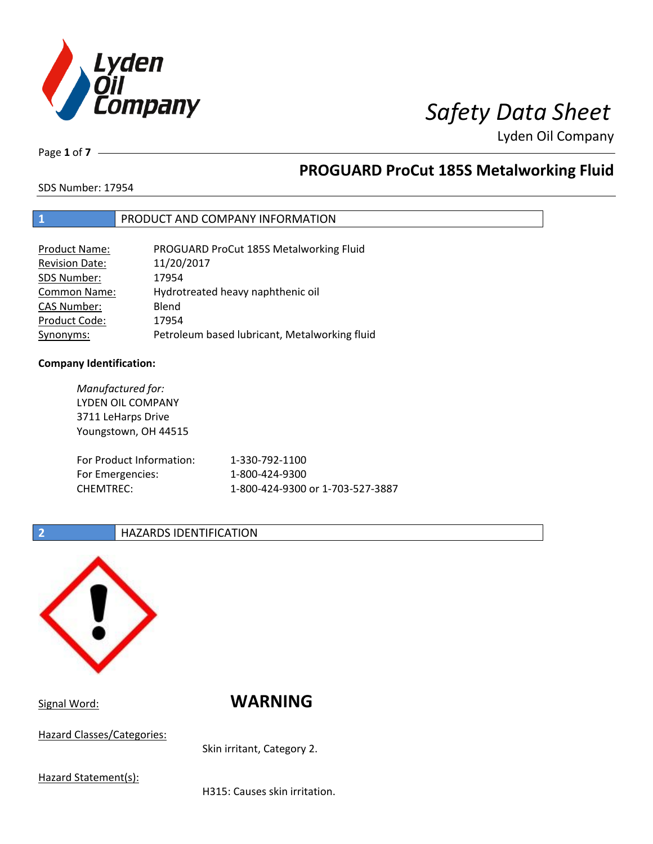

Page **1** of **7**

# **PROGUARD ProCut 185S Metalworking Fluid**

SDS Number: 17954

## **1** PRODUCT AND COMPANY INFORMATION

| Product Name:         | PROGUARD ProCut 185S Metalworking Fluid       |
|-----------------------|-----------------------------------------------|
| <b>Revision Date:</b> | 11/20/2017                                    |
| SDS Number:           | 17954                                         |
| <b>Common Name:</b>   | Hydrotreated heavy naphthenic oil             |
| <b>CAS Number:</b>    | Blend                                         |
| Product Code:         | 17954                                         |
| Synonyms:             | Petroleum based lubricant, Metalworking fluid |

### **Company Identification:**

*Manufactured for:* LYDEN OIL COMPANY 3711 LeHarps Drive Youngstown, OH 44515 For Product Information: 1-330-792-1100 For Emergencies: 1-800-424-9300 CHEMTREC: 1-800-424-9300 or 1-703-527-3887

## **2 HAZARDS IDENTIFICATION**



Hazard Classes/Categories:

Signal Word: **WARNING**

Skin irritant, Category 2.

Hazard Statement(s):

H315: Causes skin irritation.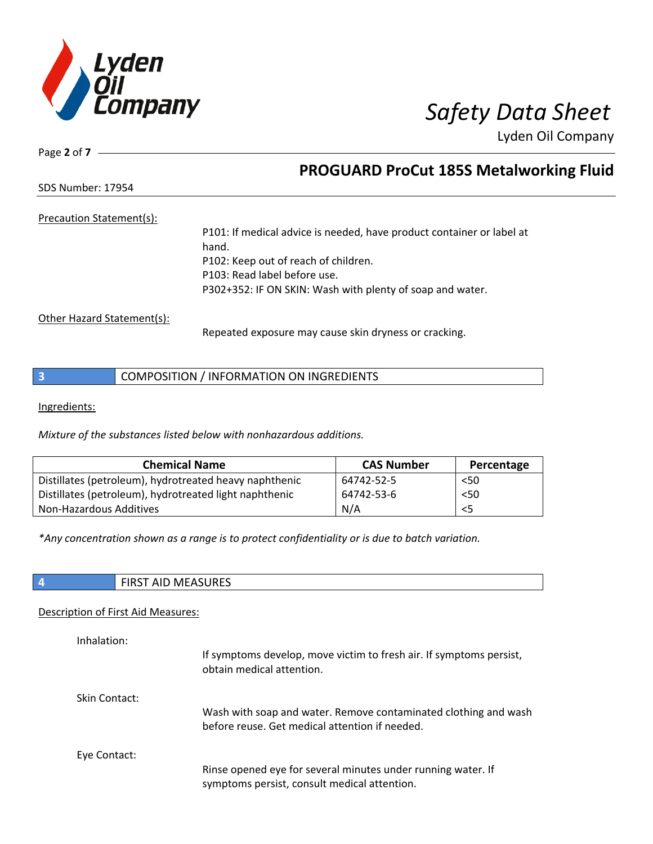

Page **2** of **7**

## **PROGUARD ProCut 185S Metalworking Fluid**

SDS Number: 17954

Precaution Statement(s):

P101: If medical advice is needed, have product container or label at hand. P102: Keep out of reach of children. P103: Read label before use. P302+352: IF ON SKIN: Wash with plenty of soap and water.

Other Hazard Statement(s):

Repeated exposure may cause skin dryness or cracking.

|  | COMPOSITION / INFORMATION ON INGREDIENTS |
|--|------------------------------------------|
|--|------------------------------------------|

Ingredients:

*Mixture of the substances listed below with nonhazardous additions.*

| <b>Chemical Name</b>                                   | <b>CAS Number</b> | Percentage |
|--------------------------------------------------------|-------------------|------------|
| Distillates (petroleum), hydrotreated heavy naphthenic | 64742-52-5        | $<$ 50     |
| Distillates (petroleum), hydrotreated light naphthenic | 64742-53-6        | < 50       |
| Non-Hazardous Additives                                | N/A               | <5         |

*\*Any concentration shown as a range is to protect confidentiality or is due to batch variation.*

|  | <b>AID MEASURES</b><br>-IRST<br>. |
|--|-----------------------------------|
|--|-----------------------------------|

### Description of First Aid Measures:

| Inhalation:   | If symptoms develop, move victim to fresh air. If symptoms persist,<br>obtain medical attention.                  |
|---------------|-------------------------------------------------------------------------------------------------------------------|
| Skin Contact: | Wash with soap and water. Remove contaminated clothing and wash<br>before reuse. Get medical attention if needed. |
| Eye Contact:  | Rinse opened eye for several minutes under running water. If<br>symptoms persist, consult medical attention.      |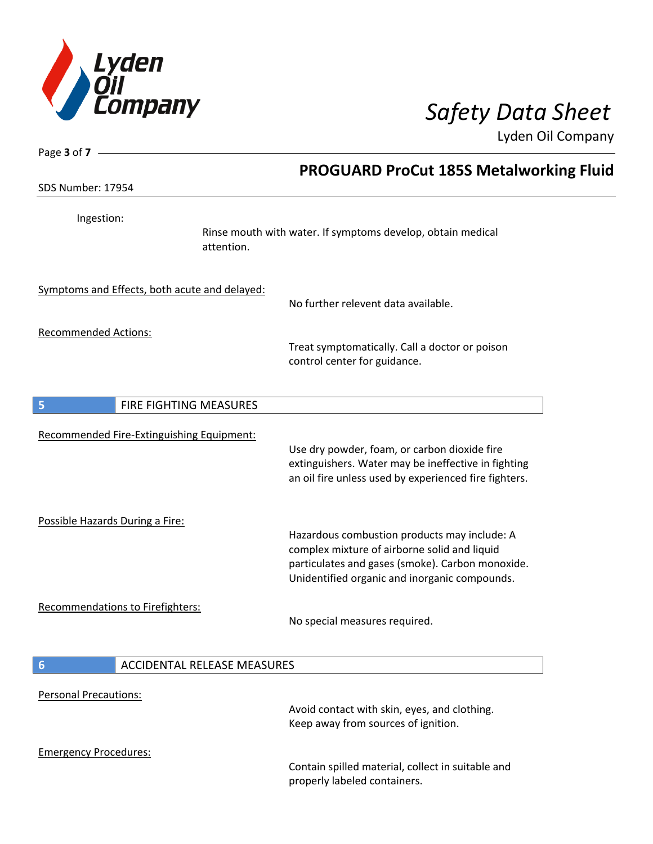

| Page 3 of 7 -                                 |                                                                                                                                                                                                   |
|-----------------------------------------------|---------------------------------------------------------------------------------------------------------------------------------------------------------------------------------------------------|
|                                               | <b>PROGUARD ProCut 185S Metalworking Fluid</b>                                                                                                                                                    |
| SDS Number: 17954                             |                                                                                                                                                                                                   |
| Ingestion:                                    | Rinse mouth with water. If symptoms develop, obtain medical<br>attention.                                                                                                                         |
| Symptoms and Effects, both acute and delayed: | No further relevent data available.                                                                                                                                                               |
| <b>Recommended Actions:</b>                   | Treat symptomatically. Call a doctor or poison<br>control center for guidance.                                                                                                                    |
| FIRE FIGHTING MEASURES<br>5                   |                                                                                                                                                                                                   |
| Recommended Fire-Extinguishing Equipment:     | Use dry powder, foam, or carbon dioxide fire<br>extinguishers. Water may be ineffective in fighting<br>an oil fire unless used by experienced fire fighters.                                      |
| Possible Hazards During a Fire:               | Hazardous combustion products may include: A<br>complex mixture of airborne solid and liquid<br>particulates and gases (smoke). Carbon monoxide.<br>Unidentified organic and inorganic compounds. |
| <b>Recommendations to Firefighters:</b>       | No special measures required.                                                                                                                                                                     |
| $6\phantom{1}6$                               | <b>ACCIDENTAL RELEASE MEASURES</b>                                                                                                                                                                |
| <b>Personal Precautions:</b>                  | Avoid contact with skin, eyes, and clothing.<br>Keep away from sources of ignition.                                                                                                               |
| <b>Emergency Procedures:</b>                  | Contain spilled material, collect in suitable and<br>properly labeled containers.                                                                                                                 |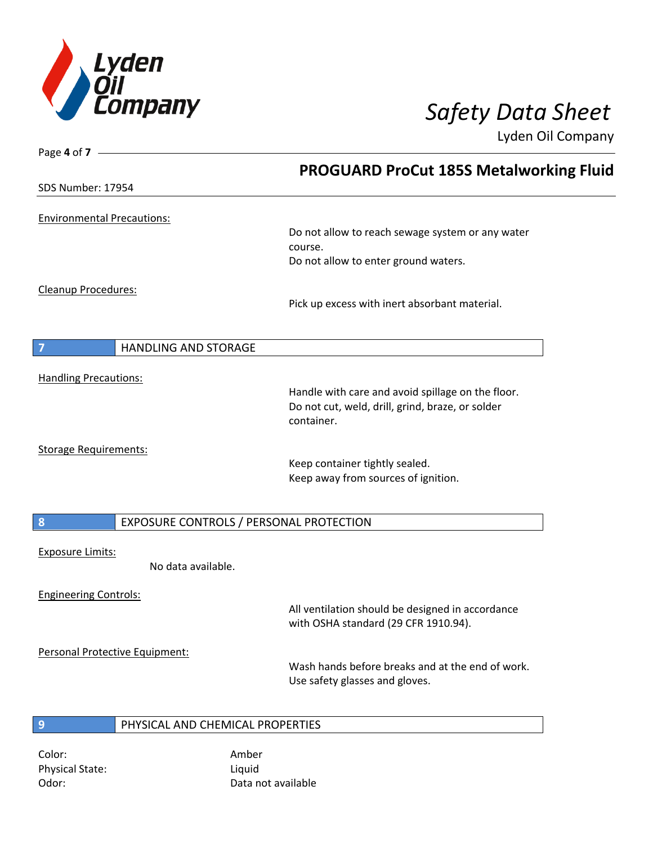

| Page 4 of $7 -$                               |                                                                                    |
|-----------------------------------------------|------------------------------------------------------------------------------------|
|                                               | <b>PROGUARD ProCut 185S Metalworking Fluid</b>                                     |
| SDS Number: 17954                             |                                                                                    |
| <b>Environmental Precautions:</b>             |                                                                                    |
|                                               | Do not allow to reach sewage system or any water                                   |
|                                               | course.                                                                            |
|                                               | Do not allow to enter ground waters.                                               |
| <b>Cleanup Procedures:</b>                    |                                                                                    |
|                                               | Pick up excess with inert absorbant material.                                      |
|                                               |                                                                                    |
| $\overline{7}$<br><b>HANDLING AND STORAGE</b> |                                                                                    |
| <b>Handling Precautions:</b>                  |                                                                                    |
|                                               | Handle with care and avoid spillage on the floor.                                  |
|                                               | Do not cut, weld, drill, grind, braze, or solder<br>container.                     |
|                                               |                                                                                    |
| <b>Storage Requirements:</b>                  | Keep container tightly sealed.                                                     |
|                                               | Keep away from sources of ignition.                                                |
|                                               |                                                                                    |
| 8                                             | EXPOSURE CONTROLS / PERSONAL PROTECTION                                            |
| <b>Exposure Limits:</b>                       |                                                                                    |
| No data available.                            |                                                                                    |
| <b>Engineering Controls:</b>                  |                                                                                    |
|                                               | All ventilation should be designed in accordance                                   |
|                                               | with OSHA standard (29 CFR 1910.94).                                               |
| Personal Protective Equipment:                |                                                                                    |
|                                               | Wash hands before breaks and at the end of work.<br>Use safety glasses and gloves. |
|                                               |                                                                                    |
| 9<br>PHYSICAL AND CHEMICAL PROPERTIES         |                                                                                    |
|                                               |                                                                                    |
| Color:                                        | Amber                                                                              |

Physical State: Liquid

Odor: Data not available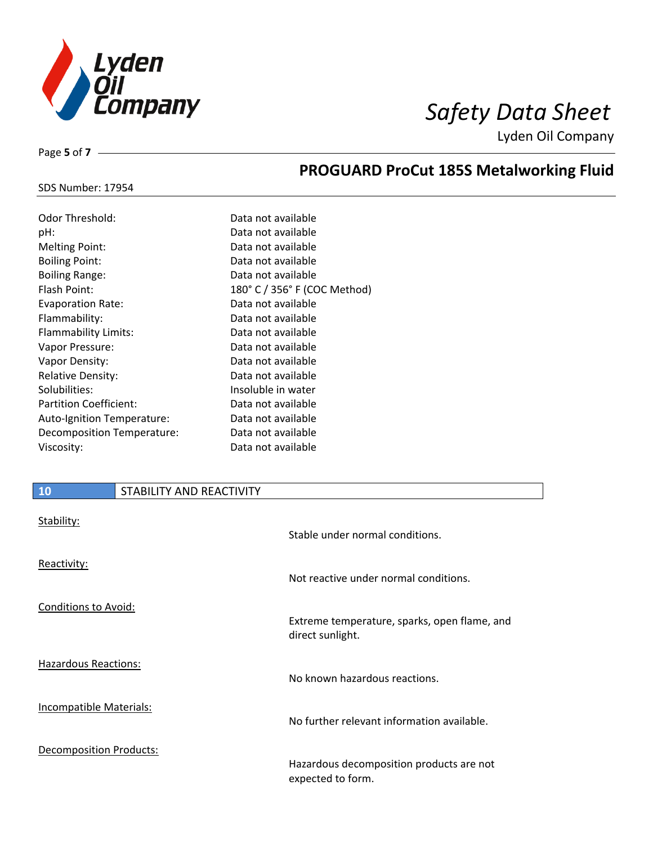

Page **5** of **7**

# **PROGUARD ProCut 185S Metalworking Fluid**

### SDS Number: 17954

| Odor Threshold:               | Data not available           |
|-------------------------------|------------------------------|
| pH:                           | Data not available           |
| <b>Melting Point:</b>         | Data not available           |
| <b>Boiling Point:</b>         | Data not available           |
| <b>Boiling Range:</b>         | Data not available           |
| Flash Point:                  | 180° C / 356° F (COC Method) |
| <b>Evaporation Rate:</b>      | Data not available           |
| Flammability:                 | Data not available           |
| Flammability Limits:          | Data not available           |
| Vapor Pressure:               | Data not available           |
| Vapor Density:                | Data not available           |
| <b>Relative Density:</b>      | Data not available           |
| Solubilities:                 | Insoluble in water           |
| <b>Partition Coefficient:</b> | Data not available           |
| Auto-Ignition Temperature:    | Data not available           |
| Decomposition Temperature:    | Data not available           |
| Viscosity:                    | Data not available           |

## **10** STABILITY AND REACTIVITY

| Stability:                     | Stable under normal conditions.                               |
|--------------------------------|---------------------------------------------------------------|
| Reactivity:                    | Not reactive under normal conditions.                         |
| Conditions to Avoid:           | Extreme temperature, sparks, open flame, and                  |
|                                | direct sunlight.                                              |
| Hazardous Reactions:           | No known hazardous reactions.                                 |
| Incompatible Materials:        | No further relevant information available.                    |
| <b>Decomposition Products:</b> | Hazardous decomposition products are not<br>expected to form. |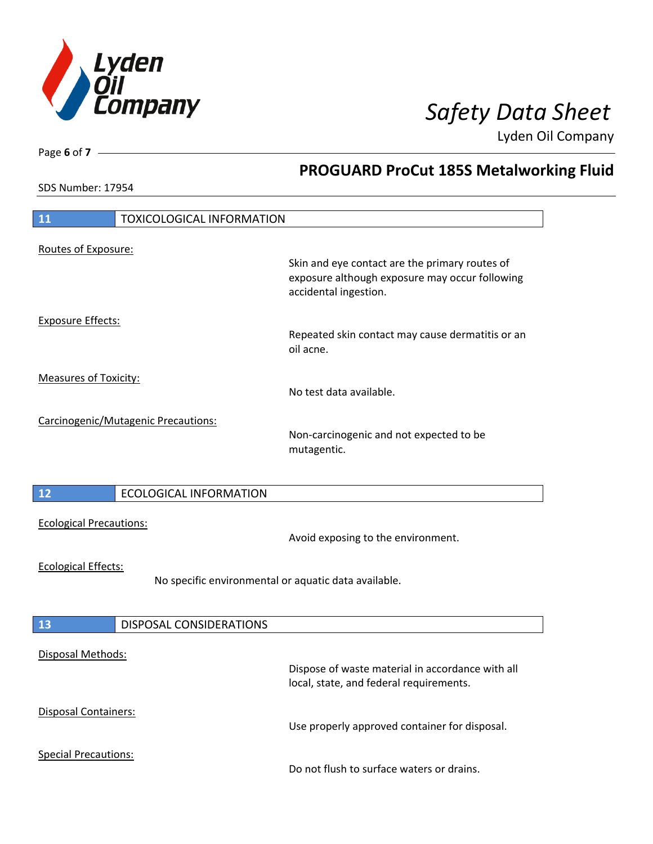

**PROGUARD ProCut 185S Metalworking Fluid**

Lyden Oil Company

SDS Number: 17954

Page **6** of **7**

| 11<br><b>TOXICOLOGICAL INFORMATION</b>               |                                                                                                                           |
|------------------------------------------------------|---------------------------------------------------------------------------------------------------------------------------|
|                                                      |                                                                                                                           |
| Routes of Exposure:                                  |                                                                                                                           |
|                                                      | Skin and eye contact are the primary routes of<br>exposure although exposure may occur following<br>accidental ingestion. |
|                                                      |                                                                                                                           |
| <b>Exposure Effects:</b>                             | Repeated skin contact may cause dermatitis or an<br>oil acne.                                                             |
| <b>Measures of Toxicity:</b>                         |                                                                                                                           |
|                                                      | No test data available.                                                                                                   |
|                                                      |                                                                                                                           |
| Carcinogenic/Mutagenic Precautions:                  | Non-carcinogenic and not expected to be<br>mutagentic.                                                                    |
|                                                      |                                                                                                                           |
| 12<br><b>ECOLOGICAL INFORMATION</b>                  |                                                                                                                           |
| <b>Ecological Precautions:</b>                       | Avoid exposing to the environment.                                                                                        |
| <b>Ecological Effects:</b>                           |                                                                                                                           |
| No specific environmental or aquatic data available. |                                                                                                                           |
|                                                      |                                                                                                                           |
| DISPOSAL CONSIDERATIONS<br>13                        |                                                                                                                           |
| Disposal Methods:                                    |                                                                                                                           |
|                                                      | Dispose of waste material in accordance with all<br>local, state, and federal requirements.                               |
| Disposal Containers:                                 | Use properly approved container for disposal.                                                                             |
| <b>Special Precautions:</b>                          | Do not flush to surface waters or drains.                                                                                 |